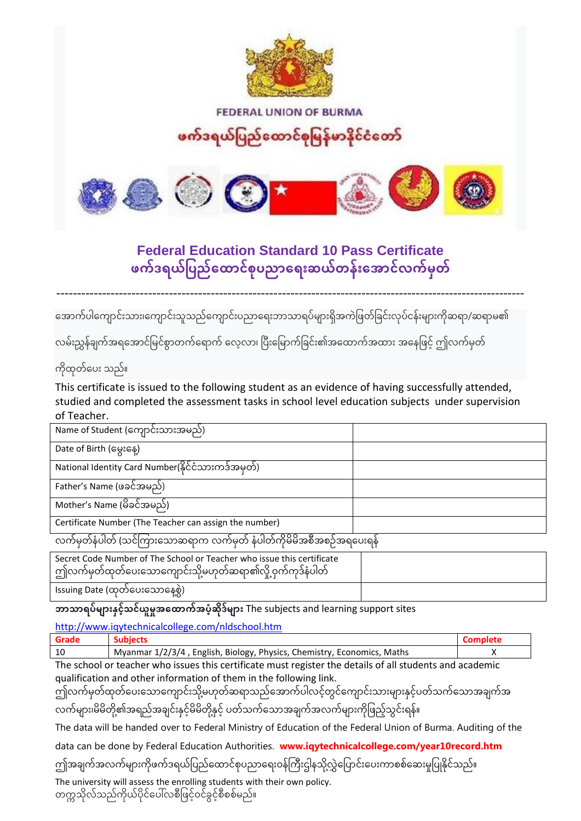

**FEDERAL UNION OF BURMA** 

## ဖက်ဒရယ်ပြည်ထောင်စုမြန်မာနိုင်ငံတော်



## **Federal Education Standard 10 Pass Certificate**  ဖက်ဒရယ်ပြည်ထောင်စုပညာရေးဆယ်တန်းအောင်လက်မှတ်

----------------------------------------------------------------------------------------------------------------

အောက်ပါကျောင်းသား၊ကျောင်းသူသည်ကျောင်းပညာရေးဘာသာရပ်များရှိအကဲဖြတ်ခြင်းလုပ်ငန်းများကိုဆရာ/ဆရာမ၏

လမ်းညွှန်ချက်အရအောင်မြင်စွာတက်ရောက် လေ့လာ၊ ပြီးမြောက်ခြင်း၏အထောက်အထား အနေဖြင့် ဤလက်မှတ်

## ကိုထုတ်ပေး သည်။

This certificate is issued to the following student as an evidence of having successfully attended, studied and completed the assessment tasks in school level education subjects under supervision of Teacher.

| Name of Student (ကျောင်းသားအမည်)                       |  |
|--------------------------------------------------------|--|
| Date of Birth (မွေးနေ့)                                |  |
| National Identity Card Number(နိုင်ငံသားကဒ်အမှတ်)      |  |
| Father's Name (ဖခင်အမည်)                               |  |
| Mother's Name (မိခင်အမည်)                              |  |
| Certificate Number (The Teacher can assign the number) |  |
| ო - ო<br>$\circ$ n c 000                               |  |

လက်မှတ်နံပါတ် (သင်ကြားသောဆရာက လက်မှတ် နံပါတ်ကိုမိမိအစီအစဉ်အရပေးရန်

Secret Code Number of The School or Teacher who issue this certificate ကျိုလက်မှတ်ထုတ်ပေးသောကျောင်းသို့မဟုတ်ဆရာ၏လို့ ဝှက်ကုဒ်နံပါတ် Issuing Date (ထုတ်ပေးသောနေ့စွဲ)

**ဘာသာရပ်များနှင့်သင်ယူမှုအထောက်အပံ့ဆိုဒ်များ** The subjects and learning support sites

<http://www.iqytechnicalcollege.com/nldschool.htm>

| Grade |                                                                         |  |
|-------|-------------------------------------------------------------------------|--|
| 10    | Myanmar 1/2/3/4, English, Biology, Physics, Chemistry, Economics, Maths |  |
| --    |                                                                         |  |

The school or teacher who issues this certificate must register the details of all students and academic qualification and other information of them in the following link.

ဤလက်မှတ်ထုတ်ပေးသောကျောင်းသို့မဟုတ်ဆရာသည်အောက်ပါလင့်တွင်ကျောင်းသားများနှင့်ပတ်သက်သောအချက်အ လက်များ၊မိမိတို့၏အရည်အချင်းနှင့်မိမိတို့နှင့် ပတ်သက်သောအချက်အလက်များကိုဖြည့်သွင်းရန်။

The data will be handed over to Federal Ministry of Education of the Federal Union of Burma. Auditing of the

data can be done by Federal Education Authorities. **www.iqytechnicalcollege.com/year10record.htm**

ဤအချက်အလက်များကိုဖက်ဒရယ်ပြည်ထောင်စုပညာရေးဝန်ကြီးဌါနသိုလွှဲပြောင်းပေးကာစစ်ဆေးမှုပြုနိုင်သည်။

The university will assess the enrolling students with their own policy. တက္ကသိုလ်သည်ကိုယ်ပိုင်ပေါ်လစီဖြင့်ဝင်ခွင့်စီစစ်မည်။